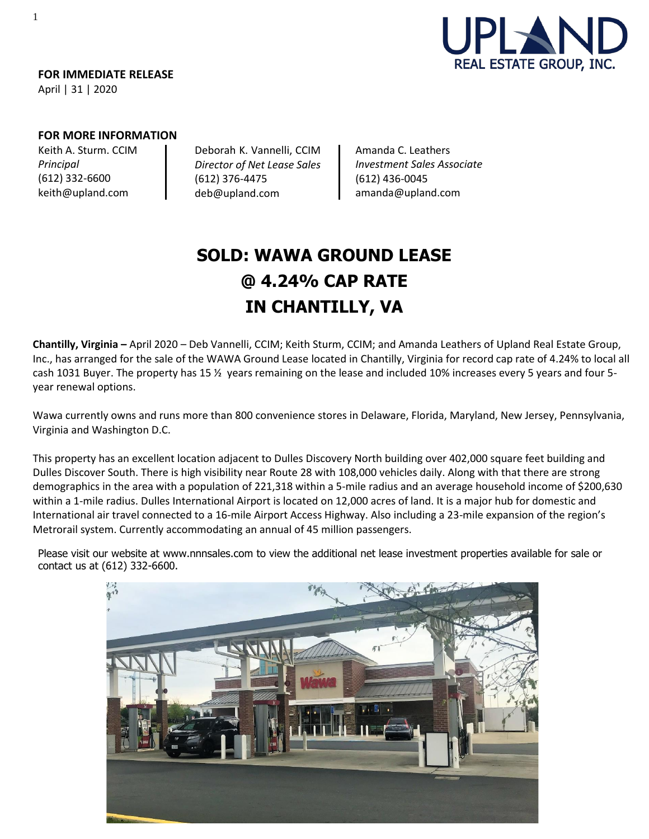

**FOR IMMEDIATE RELEASE** April | 31 | 2020

## **FOR MORE INFORMATION**

Keith A. Sturm. CCIM *Principal* (612) 332-6600 [keith@upland.com](mailto:keith@upland.com)

Deborah K. Vannelli, CCIM *Director of Net Lease Sales*  (612) 376-4475 [deb@upland.com](mailto:deb@upland.com)

Amanda C. Leathers *Investment Sales Associate*  (612) 436-0045 [amanda@upland.com](mailto:amanda@upland.com)

# **SOLD: WAWA GROUND LEASE @ 4.24% CAP RATE IN CHANTILLY, VA**

**Chantilly, Virginia –** April 2020 – Deb Vannelli, CCIM; Keith Sturm, CCIM; and Amanda Leathers of Upland Real Estate Group, Inc., has arranged for the sale of the WAWA Ground Lease located in Chantilly, Virginia for record cap rate of 4.24% to local all cash 1031 Buyer. The property has 15 <sup>y</sup> years remaining on the lease and included 10% increases every 5 years and four 5year renewal options.

Wawa currently owns and runs more than 800 convenience stores in Delaware, Florida, Maryland, New Jersey, Pennsylvania, Virginia and Washington D.C.

This property has an excellent location adjacent to Dulles Discovery North building over 402,000 square feet building and Dulles Discover South. There is high visibility near Route 28 with 108,000 vehicles daily. Along with that there are strong demographics in the area with a population of 221,318 within a 5-mile radius and an average household income of \$200,630 within a 1-mile radius. Dulles International Airport is located on 12,000 acres of land. It is a major hub for domestic and International air travel connected to a 16-mile Airport Access Highway. Also including a 23-mile expansion of the region's Metrorail system. Currently accommodating an annual of 45 million passengers.

Please visit our website at [www.nnnsales.com](http://www.nnnsales.com/) to view the additional net lease investment properties available for sale or contact us at (612) 332-6600.